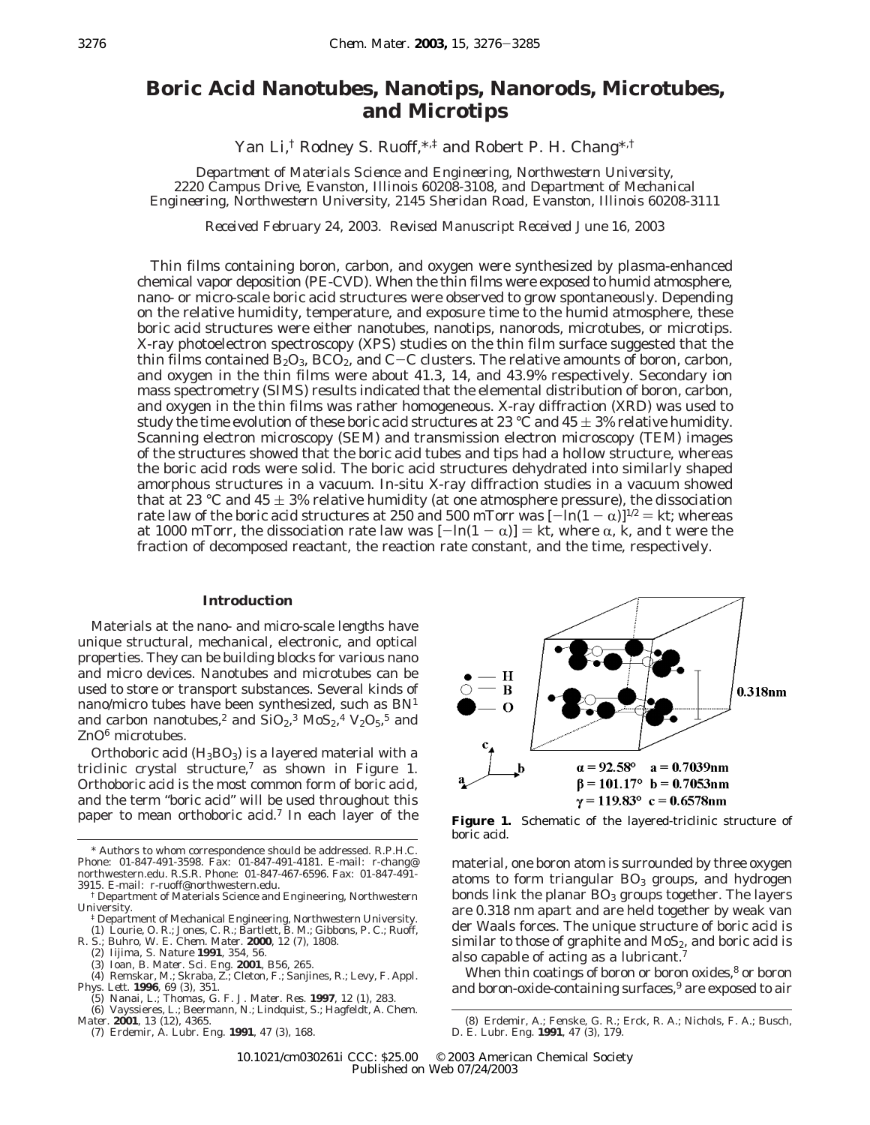# **Boric Acid Nanotubes, Nanotips, Nanorods, Microtubes, and Microtips**

Yan Li,† Rodney S. Ruoff,\*,‡ and Robert P. H. Chang\*,†

*Department of Materials Science and Engineering, Northwestern University, 2220 Campus Drive, Evanston, Illinois 60208-3108, and Department of Mechanical Engineering, Northwestern University, 2145 Sheridan Road, Evanston, Illinois 60208-3111*

*Received February 24, 2003. Revised Manuscript Received June 16, 2003*

Thin films containing boron, carbon, and oxygen were synthesized by plasma-enhanced chemical vapor deposition (PE-CVD). When the thin films were exposed to humid atmosphere, nano- or micro-scale boric acid structures were observed to grow spontaneously. Depending on the relative humidity, temperature, and exposure time to the humid atmosphere, these boric acid structures were either nanotubes, nanotips, nanorods, microtubes, or microtips. X-ray photoelectron spectroscopy (XPS) studies on the thin film surface suggested that the thin films contained  $\vec{B}_2O_3$ , BCO<sub>2</sub>, and C-C clusters. The relative amounts of boron, carbon, and oxygen in the thin films were about 41.3, 14, and 43.9% respectively. Secondary ion mass spectrometry (SIMS) results indicated that the elemental distribution of boron, carbon, and oxygen in the thin films was rather homogeneous. X-ray diffraction (XRD) was used to study the time evolution of these boric acid structures at 23 °C and 45  $\pm$  3% relative humidity. Scanning electron microscopy (SEM) and transmission electron microscopy (TEM) images of the structures showed that the boric acid tubes and tips had a hollow structure, whereas the boric acid rods were solid. The boric acid structures dehydrated into similarly shaped amorphous structures in a vacuum. In-situ X-ray diffraction studies in a vacuum showed that at 23 °C and 45  $\pm$  3% relative humidity (at one atmosphere pressure), the dissociation rate law of the boric acid structures at 250 and 500 mTorr was  $[-\ln(1 - \alpha)]^{1/2} = kt$ ; whereas at 1000 mTorr, the dissociation rate law was  $[-\ln(1 - \alpha)] = kt$ , where  $\alpha$ , *k*, and *t* were the fraction of decomposed reactant, the reaction rate constant, and the time, respectively.

## **Introduction**

Materials at the nano- and micro-scale lengths have unique structural, mechanical, electronic, and optical properties. They can be building blocks for various nano and micro devices. Nanotubes and microtubes can be used to store or transport substances. Several kinds of nano/micro tubes have been synthesized, such as BN1 and carbon nanotubes,<sup>2</sup> and  $SiO_2$ ,<sup>3</sup>  $MoS_2$ ,<sup>4</sup>  $V_2O_5$ ,<sup>5</sup> and ZnO<sup>6</sup> microtubes.

Orthoboric acid  $(H_3BO_3)$  is a layered material with a triclinic crystal structure,<sup>7</sup> as shown in Figure 1. Orthoboric acid is the most common form of boric acid, and the term "boric acid" will be used throughout this paper to mean orthoboric acid.<sup>7</sup> In each layer of the

- ‡ Department of Mechanical Engineering, Northwestern University. (1) Lourie, O. R.; Jones, C. R.; Bartlett, B. M.; Gibbons, P. C.; Ruoff, R. S.; Buhro, W. E. Chem. Mater. **2000**, 12 (7), 1808.<br>(2) Iijima, S. Nature **1991**, 354, 56.<br>(3) Ioan, B. Mater. Sci. Eng. **2001**, B56, 265.
- 
- 
- 
- (4) Remskar, M.; Skraba, Z.; Cleton, F.; Sanjines, R.; Levy, F. *Appl. Phys. Lett.* **1996**, *69* (3), 351.
- (5) Nanai, L.; Thomas, G. F. *J. Mater. Res.* **1997**, *12* (1), 283. (6) Vayssieres, L.; Beermann, N.; Lindquist, S.; Hagfeldt, A. *Chem.*

*Mater.* **2001**, *13* (12), 4365.

(7) Erdemir, A. *Lubr. Eng.* **1991**, *47* (3), 168.



**Figure 1.** Schematic of the layered-triclinic structure of boric acid.

material, one boron atom is surrounded by three oxygen atoms to form triangular  $BO<sub>3</sub>$  groups, and hydrogen bonds link the planar  $BO<sub>3</sub>$  groups together. The layers are 0.318 nm apart and are held together by weak van der Waals forces. The unique structure of boric acid is similar to those of graphite and  $MoS<sub>2</sub>$ , and boric acid is also capable of acting as a lubricant.7

When thin coatings of boron or boron oxides,<sup>8</sup> or boron and boron-oxide-containing surfaces,<sup>9</sup> are exposed to air

<sup>\*</sup> Authors to whom correspondence should be addressed. R.P.H.C. Phone: 01-847-491-3598. Fax: 01-847-491-4181. E-mail: r-chang@ northwestern.edu. R.S.R. Phone: 01-847-467-6596. Fax: 01-847-491- 3915. E-mail: r-ruoff@northwestern.edu.

<sup>†</sup> Department of Materials Science and Engineering, Northwestern University.

<sup>(8)</sup> Erdemir, A.; Fenske, G. R.; Erck, R. A.; Nichols, F. A.; Busch, D. E. *Lubr. Eng.* **1991**, *47* (3), 179.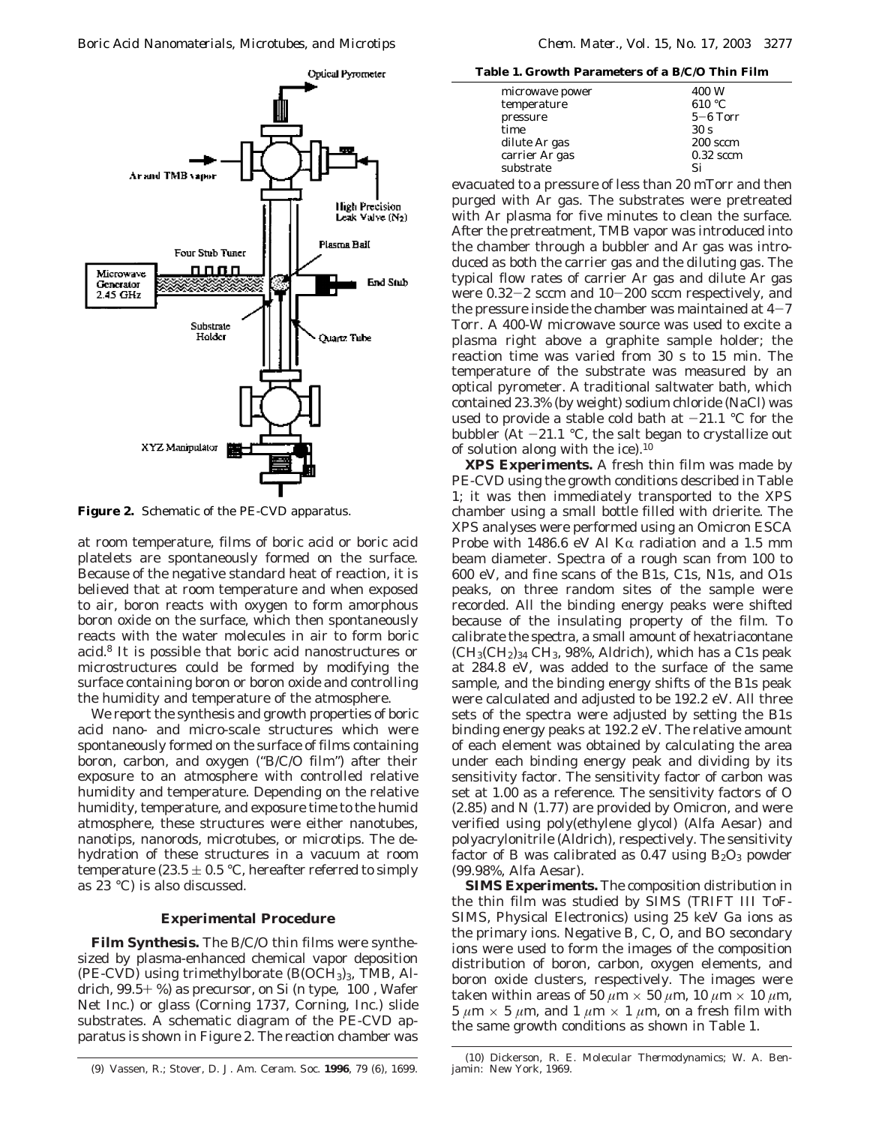

**Figure 2.** Schematic of the PE-CVD apparatus.

at room temperature, films of boric acid or boric acid platelets are spontaneously formed on the surface. Because of the negative standard heat of reaction, it is believed that at room temperature and when exposed to air, boron reacts with oxygen to form amorphous boron oxide on the surface, which then spontaneously reacts with the water molecules in air to form boric acid.8 It is possible that boric acid nanostructures or microstructures could be formed by modifying the surface containing boron or boron oxide and controlling the humidity and temperature of the atmosphere.

We report the synthesis and growth properties of boric acid nano- and micro-scale structures which were spontaneously formed on the surface of films containing boron, carbon, and oxygen ("B/C/O film") after their exposure to an atmosphere with controlled relative humidity and temperature. Depending on the relative humidity, temperature, and exposure time to the humid atmosphere, these structures were either nanotubes, nanotips, nanorods, microtubes, or microtips. The dehydration of these structures in a vacuum at room temperature (23.5  $\pm$  0.5 °C, hereafter referred to simply as 23 °C) is also discussed.

#### **Experimental Procedure**

**Film Synthesis.** The B/C/O thin films were synthesized by plasma-enhanced chemical vapor deposition (PE-CVD) using trimethylborate  $(B(OCH<sub>3</sub>)<sub>3</sub>, TMB, Al$ drich,  $99.5+$ %) as precursor, on Si (n type,  $\langle 100 \rangle$ , Wafer Net Inc.) or glass (Corning 1737, Corning, Inc.) slide substrates. A schematic diagram of the PE-CVD apparatus is shown in Figure 2. The reaction chamber was

**Table 1. Growth Parameters of a B/C/O Thin Film**

| microwave power | 400 W           |
|-----------------|-----------------|
| temperature     | 610 °C          |
| pressure        | $5-6$ Torr      |
| time            | 30 <sub>s</sub> |
| dilute Ar gas   | $200$ sccm      |
| carrier Ar gas  | $0.32$ sccm     |
| substrate       | Si              |
|                 |                 |

evacuated to a pressure of less than 20 mTorr and then purged with Ar gas. The substrates were pretreated with Ar plasma for five minutes to clean the surface. After the pretreatment, TMB vapor was introduced into the chamber through a bubbler and Ar gas was introduced as both the carrier gas and the diluting gas. The typical flow rates of carrier Ar gas and dilute Ar gas were 0.32-2 sccm and 10-200 sccm respectively, and the pressure inside the chamber was maintained at  $4-7$ Torr. A 400-W microwave source was used to excite a plasma right above a graphite sample holder; the reaction time was varied from 30 s to 15 min. The temperature of the substrate was measured by an optical pyrometer. A traditional saltwater bath, which contained 23.3% (by weight) sodium chloride (NaCl) was used to provide a stable cold bath at  $-21.1$  °C for the bubbler (At  $-21.1$  °C, the salt began to crystallize out of solution along with the ice). $10$ 

**XPS Experiments.** A fresh thin film was made by PE-CVD using the growth conditions described in Table 1; it was then immediately transported to the XPS chamber using a small bottle filled with drierite. The XPS analyses were performed using an Omicron ESCA Probe with 1486.6 eV Al K $\alpha$  radiation and a 1.5 mm beam diameter. Spectra of a rough scan from 100 to 600 eV, and fine scans of the B1s, C1s, N1s, and O1s peaks, on three random sites of the sample were recorded. All the binding energy peaks were shifted because of the insulating property of the film. To calibrate the spectra, a small amount of hexatriacontane  $(CH<sub>3</sub>(CH<sub>2</sub>)<sub>34</sub> CH<sub>3</sub>, 98%$ , Aldrich), which has a C1s peak at 284.8 eV, was added to the surface of the same sample, and the binding energy shifts of the B1s peak were calculated and adjusted to be 192.2 eV. All three sets of the spectra were adjusted by setting the B1s binding energy peaks at 192.2 eV. The relative amount of each element was obtained by calculating the area under each binding energy peak and dividing by its sensitivity factor. The sensitivity factor of carbon was set at 1.00 as a reference. The sensitivity factors of O (2.85) and N (1.77) are provided by Omicron, and were verified using poly(ethylene glycol) (Alfa Aesar) and polyacrylonitrile (Aldrich), respectively. The sensitivity factor of B was calibrated as  $0.47$  using  $B_2O_3$  powder (99.98%, Alfa Aesar).

**SIMS Experiments.** The composition distribution in the thin film was studied by SIMS (TRIFT III ToF-SIMS, Physical Electronics) using 25 keV Ga ions as the primary ions. Negative B, C, O, and BO secondary ions were used to form the images of the composition distribution of boron, carbon, oxygen elements, and boron oxide clusters, respectively. The images were taken within areas of 50  $\mu$ m  $\times$  50  $\mu$ m, 10  $\mu$ m  $\times$  10  $\mu$ m,  $5 \mu m \times 5 \mu m$ , and  $1 \mu m \times 1 \mu m$ , on a fresh film with the same growth conditions as shown in Table 1.

<sup>(9)</sup> Vassen, R.; Stover, D. *J. Am. Ceram. Soc.* **1996**, *79* (6), 1699.

<sup>(10)</sup> Dickerson, R. E. *Molecular Thermodynamics*; W. A. Benjamin: New York, 1969.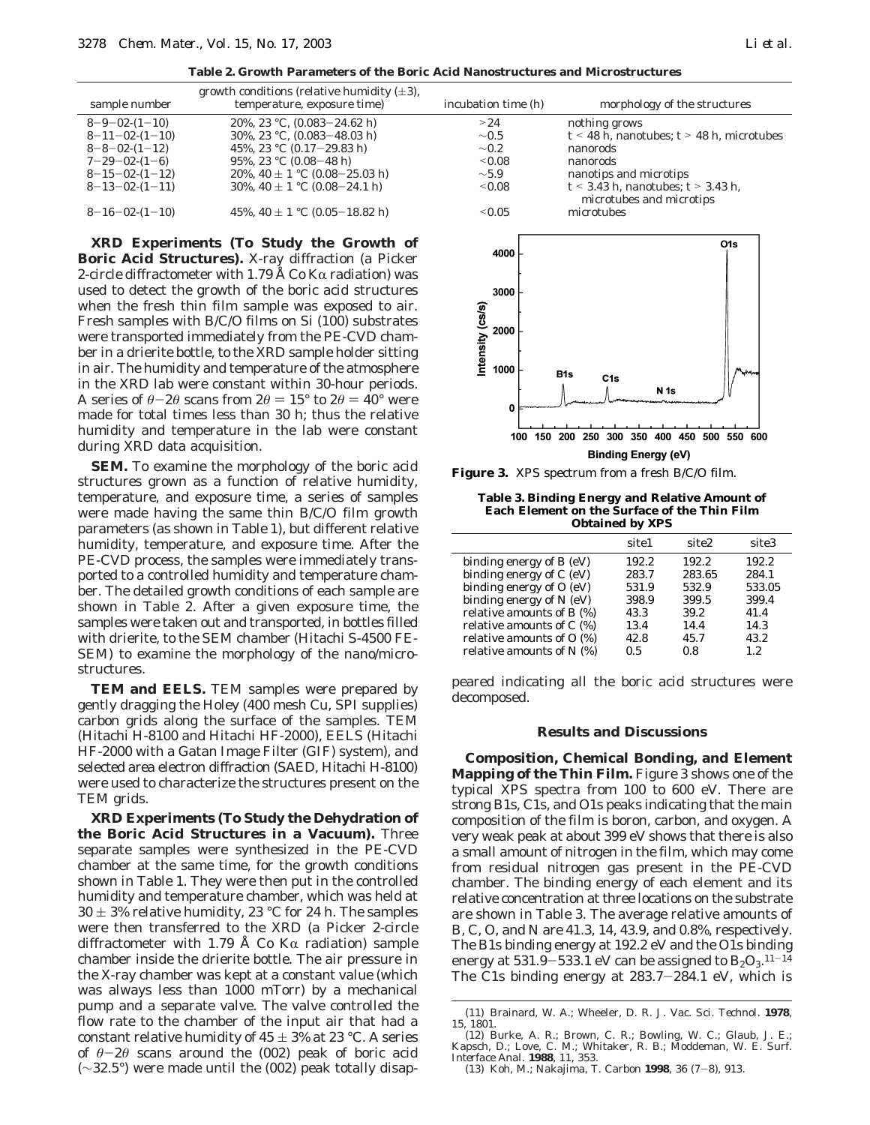**Table 2. Growth Parameters of the Boric Acid Nanostructures and Microstructures**

| sample number            | growth conditions (relative humidity $(\pm 3)$ ,<br>temperature, exposure time) | incubation time (h) | morphology of the structures                                       |
|--------------------------|---------------------------------------------------------------------------------|---------------------|--------------------------------------------------------------------|
| $8 - 9 - 02 - (1 - 10)$  | 20%, 23 °C, $(0.083 - 24.62 \text{ h})$                                         | >24                 | nothing grows                                                      |
| $8 - 11 - 02 - (1 - 10)$ | 30%, 23 °C, $(0.083 - 48.03)$ h)                                                | $\sim 0.5$          | $t \leq 48$ h, nanotubes; $t \geq 48$ h, microtubes                |
| $8 - 8 - 02 - (1 - 12)$  | 45%, 23 °C $(0.17-29.83 \text{ h})$                                             | $\sim 0.2$          | nanorods                                                           |
| $7 - 29 - 02 - (1 - 6)$  | 95%, 23 °C (0.08-48 h)                                                          | < 0.08              | nanorods                                                           |
| $8-15-02-(1-12)$         | 20%, 40 $\pm$ 1 °C (0.08–25.03 h)                                               | $\sim\!5.9$         | nanotips and microtips                                             |
| $8-13-02-(1-11)$         | 30%, 40 $\pm$ 1 °C (0.08–24.1 h)                                                | $\leq 0.08$         | $t < 3.43$ h, nanotubes; $t > 3.43$ h,<br>microtubes and microtips |
| $8-16-02-(1-10)$         | 45%, 40 $\pm$ 1 °C (0.05–18.82 h)                                               | $\leq 0.05$         | microtubes                                                         |

**XRD Experiments (To Study the Growth of Boric Acid Structures).** X-ray diffraction (a Picker 2-circle diffractometer with 1.79 Å Co K $\alpha$  radiation) was used to detect the growth of the boric acid structures when the fresh thin film sample was exposed to air. Fresh samples with B/C/O films on Si (100) substrates were transported immediately from the PE-CVD chamber in a drierite bottle, to the XRD sample holder sitting in air. The humidity and temperature of the atmosphere in the XRD lab were constant within 30-hour periods. A series of  $\theta - 2\theta$  scans from  $2\theta = 15^{\circ}$  to  $2\theta = 40^{\circ}$  were made for total times less than 30 h; thus the relative humidity and temperature in the lab were constant during XRD data acquisition.

**SEM.** To examine the morphology of the boric acid structures grown as a function of relative humidity, temperature, and exposure time, a series of samples were made having the same thin B/C/O film growth parameters (as shown in Table 1), but different relative humidity, temperature, and exposure time. After the PE-CVD process, the samples were immediately transported to a controlled humidity and temperature chamber. The detailed growth conditions of each sample are shown in Table 2. After a given exposure time, the samples were taken out and transported, in bottles filled with drierite, to the SEM chamber (Hitachi S-4500 FE-SEM) to examine the morphology of the nano/microstructures.

**TEM and EELS.** TEM samples were prepared by gently dragging the Holey (400 mesh Cu, SPI supplies) carbon grids along the surface of the samples. TEM (Hitachi H-8100 and Hitachi HF-2000), EELS (Hitachi HF-2000 with a Gatan Image Filter (GIF) system), and selected area electron diffraction (SAED, Hitachi H-8100) were used to characterize the structures present on the TEM grids.

**XRD Experiments (To Study the Dehydration of the Boric Acid Structures in a Vacuum).** Three separate samples were synthesized in the PE-CVD chamber at the same time, for the growth conditions shown in Table 1. They were then put in the controlled humidity and temperature chamber, which was held at  $30 \pm 3\%$  relative humidity, 23 °C for 24 h. The samples were then transferred to the XRD (a Picker 2-circle diffractometer with 1.79 Å Co K $\alpha$  radiation) sample chamber inside the drierite bottle. The air pressure in the X-ray chamber was kept at a constant value (which was always less than 1000 mTorr) by a mechanical pump and a separate valve. The valve controlled the flow rate to the chamber of the input air that had a constant relative humidity of  $45 \pm 3\%$  at 23 °C. A series of  $\theta$ -2 $\theta$  scans around the (002) peak of boric acid (∼32.5°) were made until the (002) peak totally disap-



**Figure 3.** XPS spectrum from a fresh B/C/O film.

**Table 3. Binding Energy and Relative Amount of Each Element on the Surface of the Thin Film Obtained by XPS**

|                             | site1 | site <sub>2</sub> | site3  |
|-----------------------------|-------|-------------------|--------|
| binding energy of $B(eV)$   | 192.2 | 192.2             | 192.2  |
| binding energy of $C$ (eV)  | 283.7 | 283.65            | 284.1  |
| binding energy of $O(eV)$   | 531.9 | 532.9             | 533.05 |
| binding energy of $N$ (eV)  | 398.9 | 399.5             | 399.4  |
| relative amounts of B (%)   | 43.3  | 39.2              | 41.4   |
| relative amounts of $C$ (%) | 13.4  | 14.4              | 14.3   |
| relative amounts of $O$ (%) | 42.8  | 45.7              | 43.2   |
| relative amounts of $N$ (%) | 0.5   | 0.8               | 1.2.   |

peared indicating all the boric acid structures were decomposed.

### **Results and Discussions**

**Composition, Chemical Bonding, and Element Mapping of the Thin Film.** Figure 3 shows one of the typical XPS spectra from 100 to 600 eV. There are strong B1s, C1s, and O1s peaks indicating that the main composition of the film is boron, carbon, and oxygen. A very weak peak at about 399 eV shows that there is also a small amount of nitrogen in the film, which may come from residual nitrogen gas present in the PE-CVD chamber. The binding energy of each element and its relative concentration at three locations on the substrate are shown in Table 3. The average relative amounts of B, C, O, and N are 41.3, 14, 43.9, and 0.8%, respectively. The B1s binding energy at 192.2 eV and the O1s binding energy at 531.9–533.1 eV can be assigned to  $\rm{B_2O_3}.^{11-14}$ <br>The C1s binding energy at 283.7–284.1 eV, which is The C1s binding energy at 283.7-284.1 eV, which is

<sup>(11)</sup> Brainard, W. A.; Wheeler, D. R. *J. Vac. Sci. Technol*. **1978**, *15*, 1801.

<sup>(12)</sup> Burke, A. R.; Brown, C. R.; Bowling, W. C.; Glaub, J. E.; Kapsch, D.; Love, C. M.; Whitaker, R. B.; Moddeman, W. E. *Surf. Interface Anal.* **1988**, *11*, 353.

<sup>(13)</sup> Koh, M.; Nakajima, T. *Carbon* **<sup>1998</sup>**, *<sup>36</sup>* (7-8), 913.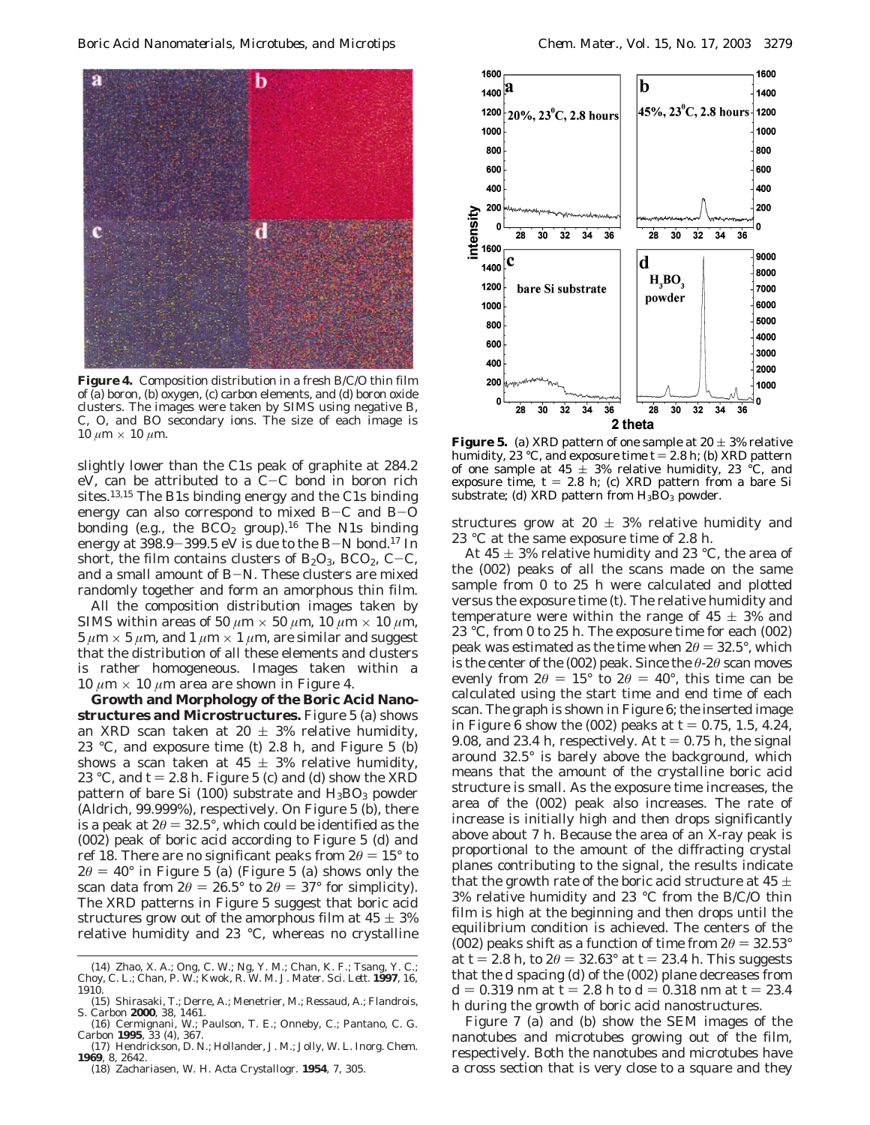

**Figure 4.** Composition distribution in a fresh B/C/O thin film of (a) boron, (b) oxygen, (c) carbon elements, and (d) boron oxide clusters. The images were taken by SIMS using negative B, C, O, and BO secondary ions. The size of each image is 10 *μm* × 10 *μm*. The size of each image is **Figure 5.** (a) XRD pattern of one sample at 20 ± 3% relative  $10 \mu$ m × 10  $\mu$ m.

slightly lower than the C1s peak of graphite at 284.2 eV, can be attributed to a  $C-C$  bond in boron rich sites.13,15 The B1s binding energy and the C1s binding energy can also correspond to mixed  $B-C$  and  $B-O$ bonding (e.g., the  $BCO<sub>2</sub>$  group).<sup>16</sup> The N1s binding energy at  $398.9 - 399.5$  eV is due to the B-N bond.<sup>17</sup> In short, the film contains clusters of  $B_2O_3$ ,  $BCO_2$ ,  $C-C$ , and a small amount of B-N. These clusters are mixed randomly together and form an amorphous thin film.

All the composition distribution images taken by SIMS within areas of 50  $\mu$ m  $\times$  50  $\mu$ m, 10  $\mu$ m  $\times$  10  $\mu$ m,  $5 \mu m \times 5 \mu m$ , and  $1 \mu m \times 1 \mu m$ , are similar and suggest that the distribution of all these elements and clusters is rather homogeneous. Images taken within a 10  $\mu$ m  $\times$  10  $\mu$ m area are shown in Figure 4.

**Growth and Morphology of the Boric Acid Nanostructures and Microstructures.** Figure 5 (a) shows an XRD scan taken at 20  $\pm$  3% relative humidity, 23 °C, and exposure time (*t*) 2.8 h, and Figure 5 (b) shows a scan taken at  $45 \pm 3\%$  relative humidity, 23 °C, and  $t = 2.8$  h. Figure 5 (c) and (d) show the XRD pattern of bare Si (100) substrate and  $H_3BO_3$  powder (Aldrich, 99.999%), respectively. On Figure 5 (b), there is a peak at  $2\theta = 32.5^{\circ}$ , which could be identified as the (002) peak of boric acid according to Figure 5 (d) and ref 18. There are no significant peaks from  $2\theta = 15^{\circ}$  to  $2\theta = 40^{\circ}$  in Figure 5 (a) (Figure 5 (a) shows only the scan data from  $2\theta = 26.5^{\circ}$  to  $2\theta = 37^{\circ}$  for simplicity). The XRD patterns in Figure 5 suggest that boric acid structures grow out of the amorphous film at  $45 \pm 3\%$ relative humidity and 23 °C, whereas no crystalline

(18) Zachariasen, W. H. *Acta Crystallogr*. **1954**, *7*, 305.



humidity, 23 °C, and exposure time  $t = 2.8$  h; (b) XRD pattern of one sample at 45  $\pm$  3% relative humidity, 23 °C, and exposure time,  $t = 2.8$  h; (c) XRD pattern from a bare Si substrate; (d) XRD pattern from  $H_3BO_3$  powder.

structures grow at 20  $\pm$  3% relative humidity and 23 °C at the same exposure time of 2.8 h.

At 45  $\pm$  3% relative humidity and 23 °C, the area of the (002) peaks of all the scans made on the same sample from 0 to 25 h were calculated and plotted versus the exposure time (*t*). The relative humidity and temperature were within the range of  $45 \pm 3\%$  and 23 °C, from 0 to 25 h. The exposure time for each (002) peak was estimated as the time when  $2\theta = 32.5^{\circ}$ , which is the center of the (002) peak. Since the *θ*-2*θ* scan moves evenly from  $2\theta = 15^{\circ}$  to  $2\theta = 40^{\circ}$ , this time can be calculated using the start time and end time of each scan. The graph is shown in Figure 6; the inserted image in Figure 6 show the  $(002)$  peaks at  $t = 0.75, 1.5, 4.24$ , 9.08, and 23.4 h, respectively. At  $t = 0.75$  h, the signal around 32.5° is barely above the background, which means that the amount of the crystalline boric acid structure is small. As the exposure time increases, the area of the (002) peak also increases. The rate of increase is initially high and then drops significantly above about 7 h. Because the area of an X-ray peak is proportional to the amount of the diffracting crystal planes contributing to the signal, the results indicate that the growth rate of the boric acid structure at 45  $\pm$ 3% relative humidity and 23 °C from the B/C/O thin film is high at the beginning and then drops until the equilibrium condition is achieved. The centers of the (002) peaks shift as a function of time from  $2\theta = 32.53^{\circ}$ at  $t = 2.8$  h, to  $2\theta = 32.63^{\circ}$  at  $t = 23.4$  h. This suggests that the *d* spacing (*d*) of the (002) plane decreases from *d* = 0.319 nm at *t* = 2.8 h to *d* = 0.318 nm at *t* = 23.4 h during the growth of boric acid nanostructures.

Figure 7 (a) and (b) show the SEM images of the nanotubes and microtubes growing out of the film, respectively. Both the nanotubes and microtubes have a cross section that is very close to a square and they

<sup>(14)</sup> Zhao, X. A.; Ong, C. W.; Ng, Y. M.; Chan, K. F.; Tsang, Y. C.; Choy, C. L.; Chan, P. W.; Kwok, R. W. M. *J. Mater. Sci. Lett.* **1997**, *16*, 1910.

<sup>(15)</sup> Shirasaki, T.; Derre, A.; Menetrier, M.; Ressaud, A.; Flandrois, S. *Carbon* **2000**, *38*, 1461.

<sup>(16)</sup> Cermignani, W.; Paulson, T. E.; Onneby, C.; Pantano, C. G. *Carbon* **1995**, *33* (4), 367.

<sup>(17)</sup> Hendrickson, D. N.; Hollander, J. M.; Jolly, W. L. *Inorg. Chem.* **1969**, *8*, 2642.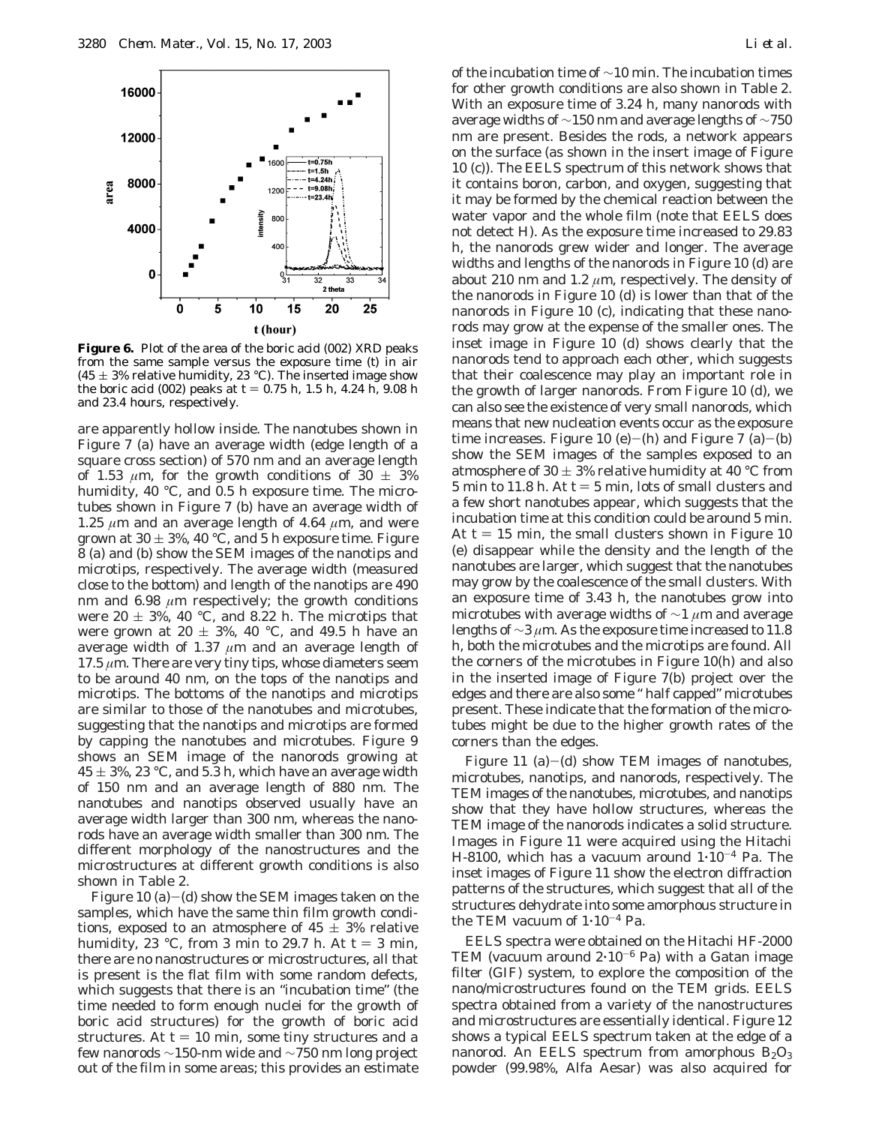

**Figure 6.** Plot of the area of the boric acid (002) XRD peaks from the same sample versus the exposure time (*t*) in air (45  $\pm$  3% relative humidity, 23 °C). The inserted image show the boric acid (002) peaks at  $t = 0.75$  h, 1.5 h, 4.24 h, 9.08 h and 23.4 hours, respectively.

are apparently hollow inside. The nanotubes shown in Figure 7 (a) have an average width (edge length of a square cross section) of 570 nm and an average length of 1.53  $\mu$ m, for the growth conditions of 30  $\pm$  3% humidity, 40 °C, and 0.5 h exposure time. The microtubes shown in Figure 7 (b) have an average width of 1.25  $\mu$ m and an average length of 4.64  $\mu$ m, and were grown at  $30 \pm 3$ %, 40 °C, and 5 h exposure time. Figure 8 (a) and (b) show the SEM images of the nanotips and microtips, respectively. The average width (measured close to the bottom) and length of the nanotips are 490 nm and 6.98 *µ*m respectively; the growth conditions were  $20 \pm 3$ %, 40 °C, and 8.22 h. The microtips that were grown at 20  $\pm$  3%, 40 °C, and 49.5 h have an average width of 1.37  $\mu$ m and an average length of  $17.5 \mu m$ . There are very tiny tips, whose diameters seem to be around 40 nm, on the tops of the nanotips and microtips. The bottoms of the nanotips and microtips are similar to those of the nanotubes and microtubes, suggesting that the nanotips and microtips are formed by capping the nanotubes and microtubes. Figure 9 shows an SEM image of the nanorods growing at  $45 \pm 3$ %, 23 °C, and 5.3 h, which have an average width of 150 nm and an average length of 880 nm. The nanotubes and nanotips observed usually have an average width larger than 300 nm, whereas the nanorods have an average width smaller than 300 nm. The different morphology of the nanostructures and the microstructures at different growth conditions is also shown in Table 2.

Figure 10 (a)-(d) show the SEM images taken on the samples, which have the same thin film growth conditions, exposed to an atmosphere of  $45 \pm 3\%$  relative humidity, 23 °C, from 3 min to 29.7 h. At  $t = 3$  min, there are no nanostructures or microstructures, all that is present is the flat film with some random defects, which suggests that there is an "incubation time" (the time needed to form enough nuclei for the growth of boric acid structures) for the growth of boric acid structures. At  $t = 10$  min, some tiny structures and a few nanorods  $\sim$ 150-nm wide and  $\sim$ 750 nm long project out of the film in some areas; this provides an estimate

of the incubation time of ∼10 min. The incubation times for other growth conditions are also shown in Table 2. With an exposure time of 3.24 h, many nanorods with average widths of ∼150 nm and average lengths of ∼750 nm are present. Besides the rods, a network appears on the surface (as shown in the insert image of Figure 10 (c)). The EELS spectrum of this network shows that it contains boron, carbon, and oxygen, suggesting that it may be formed by the chemical reaction between the water vapor and the whole film (note that EELS does not detect H). As the exposure time increased to 29.83 h, the nanorods grew wider and longer. The average widths and lengths of the nanorods in Figure 10 (d) are about 210 nm and 1.2  $\mu$ m, respectively. The density of the nanorods in Figure 10 (d) is lower than that of the nanorods in Figure 10 (c), indicating that these nanorods may grow at the expense of the smaller ones. The inset image in Figure 10 (d) shows clearly that the nanorods tend to approach each other, which suggests that their coalescence may play an important role in the growth of larger nanorods. From Figure 10 (d), we can also see the existence of very small nanorods, which means that new nucleation events occur as the exposure time increases. Figure 10 (e)-(h) and Figure 7 (a)-(b) show the SEM images of the samples exposed to an atmosphere of 30  $\pm$  3% relative humidity at 40 °C from 5 min to 11.8 h. At  $t = 5$  min, lots of small clusters and a few short nanotubes appear, which suggests that the incubation time at this condition could be around 5 min. At  $t = 15$  min, the small clusters shown in Figure 10 (e) disappear while the density and the length of the nanotubes are larger, which suggest that the nanotubes may grow by the coalescence of the small clusters. With an exposure time of 3.43 h, the nanotubes grow into microtubes with average widths of ∼1 *µ*m and average lengths of ∼3 *µ*m. As the exposure time increased to 11.8 h, both the microtubes and the microtips are found. All the corners of the microtubes in Figure 10(h) and also in the inserted image of Figure 7(b) project over the edges and there are also some " half capped" microtubes present. These indicate that the formation of the microtubes might be due to the higher growth rates of the corners than the edges.

Figure 11 (a)-(d) show TEM images of nanotubes, microtubes, nanotips, and nanorods, respectively. The TEM images of the nanotubes, microtubes, and nanotips show that they have hollow structures, whereas the TEM image of the nanorods indicates a solid structure. Images in Figure 11 were acquired using the Hitachi H-8100, which has a vacuum around  $1 \cdot 10^{-4}$  Pa. The inset images of Figure 11 show the electron diffraction patterns of the structures, which suggest that all of the structures dehydrate into some amorphous structure in the TEM vacuum of  $1 \cdot 10^{-4}$  Pa.

EELS spectra were obtained on the Hitachi HF-2000 TEM (vacuum around  $2.10^{-6}$  Pa) with a Gatan image filter (GIF) system, to explore the composition of the nano/microstructures found on the TEM grids. EELS spectra obtained from a variety of the nanostructures and microstructures are essentially identical. Figure 12 shows a typical EELS spectrum taken at the edge of a nanorod. An EELS spectrum from amorphous  $B_2O_3$ powder (99.98%, Alfa Aesar) was also acquired for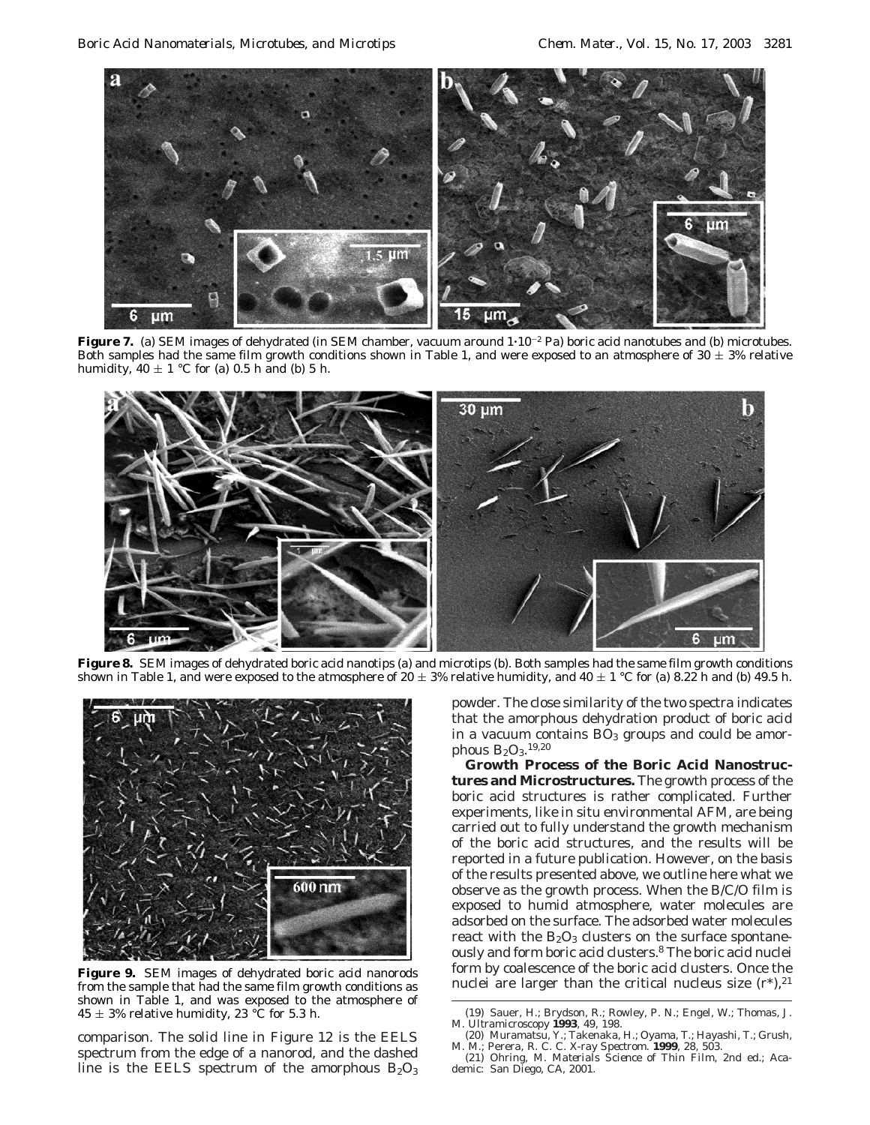

**Figure 7.** (a) SEM images of dehydrated (in SEM chamber, vacuum around  $1 \cdot 10^{-2}$  Pa) boric acid nanotubes and (b) microtubes. Both samples had the same film growth conditions shown in Table 1, and were exposed to an atmosphere of  $30 \pm 3\%$  relative humidity,  $40 \pm 1$  °C for (a) 0.5 h and (b) 5 h.



**Figure 8.** SEM images of dehydrated boric acid nanotips (a) and microtips (b). Both samples had the same film growth conditions shown in Table 1, and were exposed to the atmosphere of 20  $\pm$  3% relative humidity, and 40  $\pm$  1 °C for (a) 8.22 h and (b) 49.5 h.



**Figure 9.** SEM images of dehydrated boric acid nanorods from the sample that had the same film growth conditions as shown in Table 1, and was exposed to the atmosphere of  $45 \pm 3\%$  relative humidity, 23 °C for 5.3 h.

comparison. The solid line in Figure 12 is the EELS spectrum from the edge of a nanorod, and the dashed line is the EELS spectrum of the amorphous  $B_2O_3$ 

powder. The close similarity of the two spectra indicates that the amorphous dehydration product of boric acid in a vacuum contains  $BO<sub>3</sub>$  groups and could be amorphous  $B_2O_3$ .<sup>19,20</sup>

**Growth Process of the Boric Acid Nanostructures and Microstructures.** The growth process of the boric acid structures is rather complicated. Further experiments, like in situ environmental AFM, are being carried out to fully understand the growth mechanism of the boric acid structures, and the results will be reported in a future publication. However, on the basis of the results presented above, we outline here what we observe as the growth process. When the B/C/O film is exposed to humid atmosphere, water molecules are adsorbed on the surface. The adsorbed water molecules react with the  $B_2O_3$  clusters on the surface spontaneously and form boric acid clusters.8 The boric acid nuclei form by coalescence of the boric acid clusters. Once the nuclei are larger than the critical nucleus size  $(r^*)$ ,<sup>21</sup>

<sup>(19)</sup> Sauer, H.; Brydson, R.; Rowley, P. N.; Engel, W.; Thomas, J. M. *Ultramicroscopy* **1993**, *49*, 198.

<sup>(20)</sup> Muramatsu, Y.; Takenaka, H.; Oyama, T.; Hayashi, T.; Grush, M. M.; Perera, R. C. C. *X-ray Spectrom.* **1999**, *28*, 503.

<sup>(21)</sup> Ohring, M. *Materials Science of Thin Film*, 2nd ed.; Aca-demic: San Diego, CA, 2001.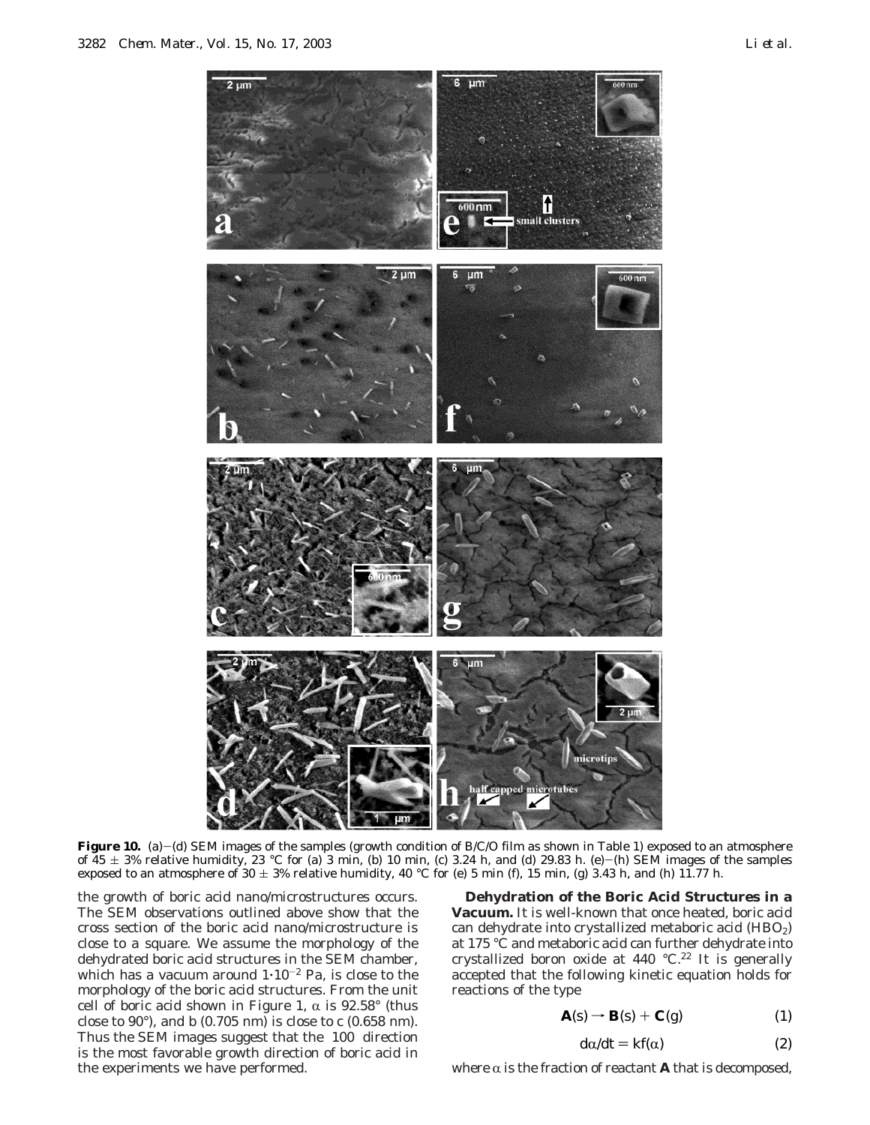

**Figure 10.** (a)-(d) SEM images of the samples (growth condition of B/C/O film as shown in Table 1) exposed to an atmosphere of  $45 \pm 3\%$  relative humidity, 23 °C for (a) 3 min, (b) 10 min, (c) 3.24 h, and (d) 29.83 h. (e)-(h) SEM images of the samples exposed to an atmosphere of 30  $\pm$  3% relative humidity, 40 °C for (e) 5 min (f), 15 min, (g) 3.43 h, and (h) 11.77 h.

the growth of boric acid nano/microstructures occurs. The SEM observations outlined above show that the cross section of the boric acid nano/microstructure is close to a square. We assume the morphology of the dehydrated boric acid structures in the SEM chamber, which has a vacuum around  $1 \cdot 10^{-2}$  Pa, is close to the morphology of the boric acid structures. From the unit cell of boric acid shown in Figure 1,  $\alpha$  is 92.58° (thus close to 90°), and *b* (0.705 nm) is close to *c* (0.658 nm). Thus the SEM images suggest that the  $\langle 100 \rangle$  direction is the most favorable growth direction of boric acid in the experiments we have performed.

**Dehydration of the Boric Acid Structures in a Vacuum.** It is well-known that once heated, boric acid can dehydrate into crystallized metaboric acid (HBO<sub>2</sub>) at 175 °C and metaboric acid can further dehydrate into crystallized boron oxide at 440  $^{\circ}$ C.<sup>22</sup> It is generally accepted that the following kinetic equation holds for reactions of the type

$$
\mathbf{A}(s) \rightarrow \mathbf{B}(s) + \mathbf{C}(g) \tag{1}
$$

$$
d\alpha/dt = kf(\alpha) \tag{2}
$$

where  $\alpha$  is the fraction of reactant **A** that is decomposed,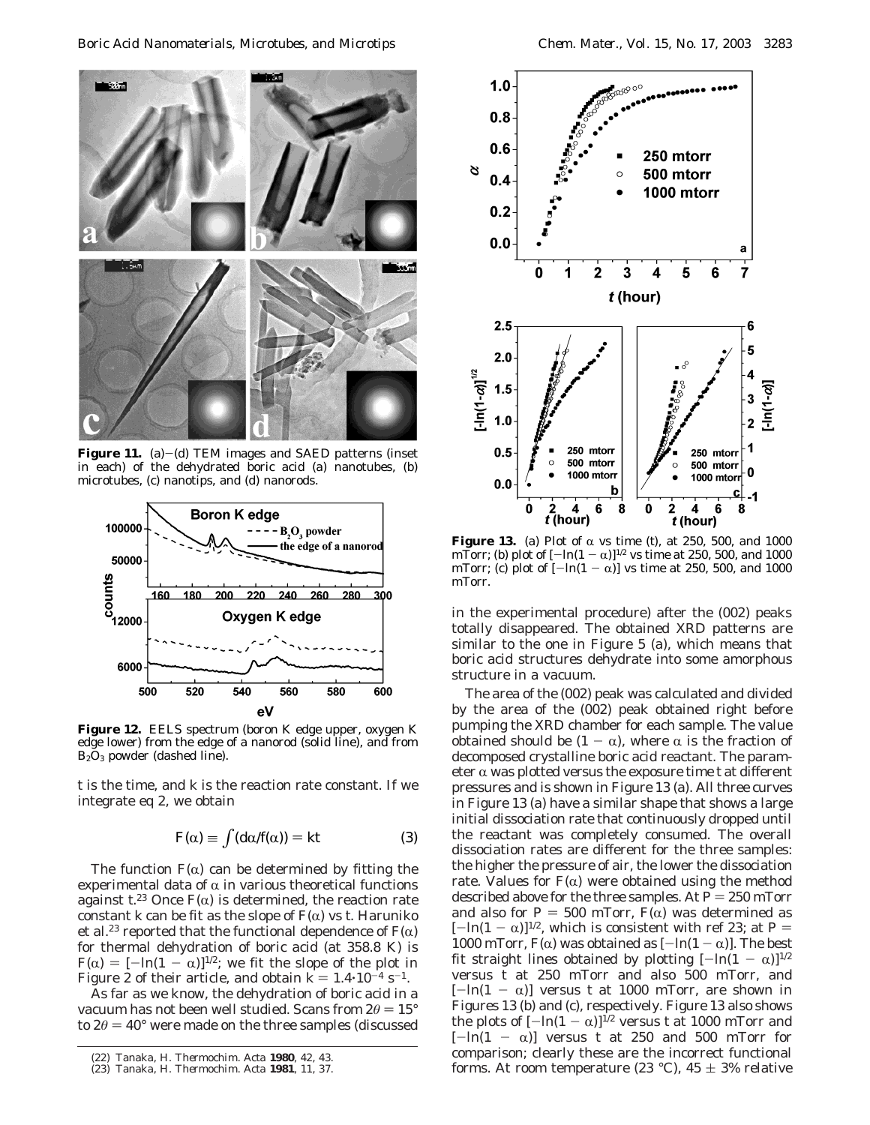

**Figure 11.** (a) $-(d)$  TEM images and SAED patterns (inset in each) of the dehydrated boric acid (a) nanotubes, (b) microtubes, (c) nanotips, and (d) nanorods.



**Figure 12.** EELS spectrum (boron K edge upper, oxygen K edge lower) from the edge of a nanorod (solid line), and from B2O3 powder (dashed line).

*t* is the time, and *k* is the reaction rate constant. If we integrate eq 2, we obtain

$$
F(\alpha) \equiv \int (d\alpha/f(\alpha)) = kt \tag{3}
$$

The function  $F(\alpha)$  can be determined by fitting the experimental data of  $\alpha$  in various theoretical functions against  $t^{23}$  Once  $F(\alpha)$  is determined, the reaction rate<br>constant *k* can be fit as the slope of  $F(\alpha)$  vs *t* Haruniko constant *k* can be fit as the slope of  $F(\alpha)$  vs *t*. Haruniko et al.<sup>23</sup> reported that the functional dependence of  $F(\alpha)$ for thermal dehydration of boric acid (at 358.8 K) is  $F(\alpha) = [-\ln(1 - \alpha)]^{1/2}$ ; we fit the slope of the plot in Figure 2 of their article, and obtain  $k = 1.4 \cdot 10^{-4} \text{ s}^{-1}$ .

As far as we know, the dehydration of boric acid in a vacuum has not been well studied. Scans from  $2θ = 15°$ to  $2\theta = 40^{\circ}$  were made on the three samples (discussed



**Figure 13.** (a) Plot of  $\alpha$  vs time (*t*), at 250, 500, and 1000 mTorr: (b) plot of  $[-\ln(1-\alpha)]^{1/2}$  vs time at 250, 500, and 1000 mTorr; (b) plot of  $[-\ln(1 - \alpha)]^{1/2}$  vs time at 250, 500, and 1000<br>mTorr: (c) plot of  $[-\ln(1 - \alpha)]$  vs time at 250, 500, and 1000 mTorr; (c) plot of  $[-\ln(1-\alpha)]$  vs time at 250, 500, and 1000<br>mTorr mTorr.

in the experimental procedure) after the (002) peaks totally disappeared. The obtained XRD patterns are similar to the one in Figure 5 (a), which means that boric acid structures dehydrate into some amorphous structure in a vacuum.

The area of the (002) peak was calculated and divided by the area of the (002) peak obtained right before pumping the XRD chamber for each sample. The value obtained should be  $(1 - \alpha)$ , where  $\alpha$  is the fraction of decomposed crystalline boric acid reactant. The parameter  $\alpha$  was plotted versus the exposure time  $t$  at different pressures and is shown in Figure 13 (a). All three curves in Figure 13 (a) have a similar shape that shows a large initial dissociation rate that continuously dropped until the reactant was completely consumed. The overall dissociation rates are different for the three samples: the higher the pressure of air, the lower the dissociation rate. Values for  $F(\alpha)$  were obtained using the method described above for the three samples. At  $P = 250$  mTorr and also for  $P = 500$  mTorr,  $F(\alpha)$  was determined as  $[-\ln(1 - \alpha)]^{1/2}$ , which is consistent with ref 23; at *P* = 1000 mTorr,  $F(\alpha)$  was obtained as  $[-ln(1 - \alpha)]$ . The best fit straight lines obtained by plotting  $[-\ln(1 - \alpha)]^{1/2}$ versus *t* at 250 mTorr and also 500 mTorr, and  $[-\ln(1 - \alpha)]$  versus *t* at 1000 mTorr, are shown in Figures 13 (b) and (c), respectively. Figure 13 also shows the plots of  $[-\ln(1 - \alpha)]^{1/2}$  versus *t* at 1000 mTorr and  $[-\ln(1 - \alpha)]$  versus *t* at 250 and 500 mTorr for comparison; clearly these are the incorrect functional forms. At room temperature (23 °C), 45 ( 3% relative (22) Tanaka, H. *Thermochim. Acta* **<sup>1980</sup>**, *<sup>42</sup>*, 43.

<sup>(23)</sup> Tanaka, H. *Thermochim. Acta* **1981**, *11*, 37.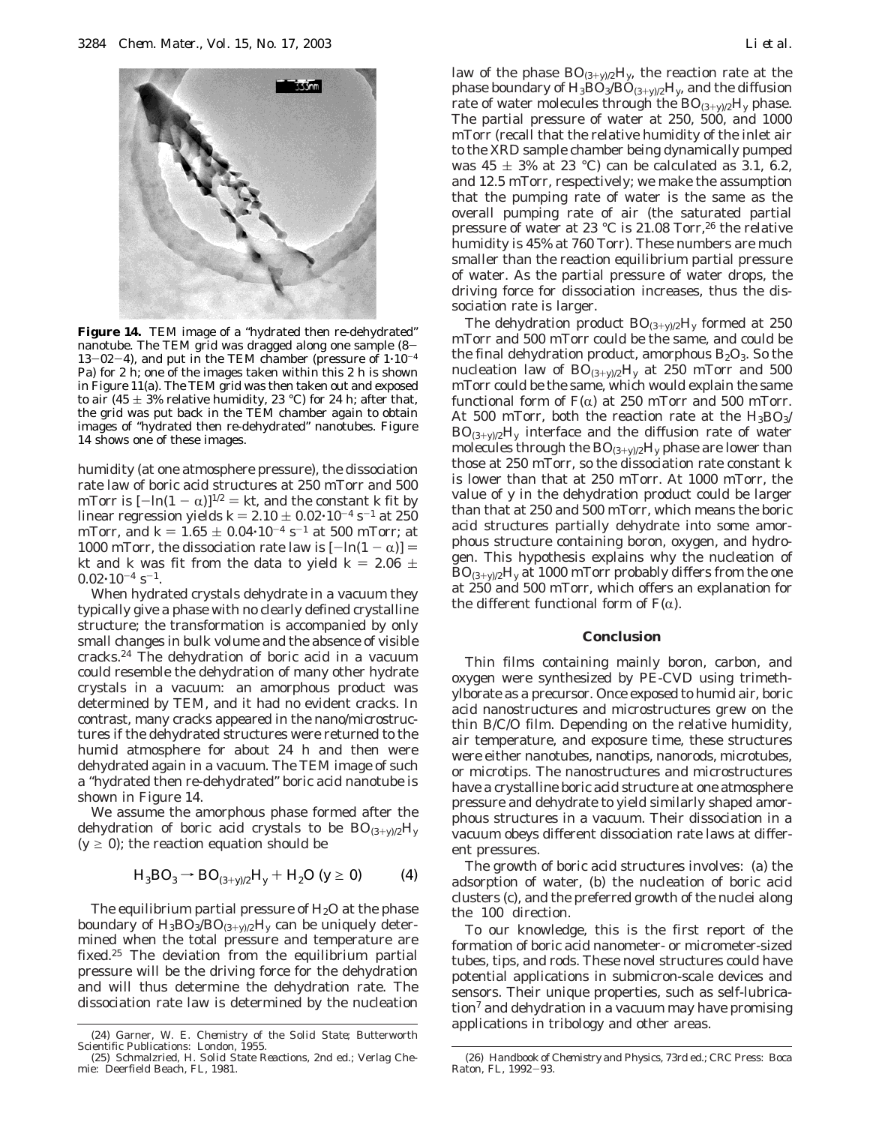

**Figure 14.** TEM image of a "hydrated then re-dehydrated" nanotube. The TEM grid was dragged along one sample (8-  $13-02-4$ ), and put in the TEM chamber (pressure of  $1\cdot10^{-4}$ Pa) for 2 h; one of the images taken within this 2 h is shown in Figure 11(a). The TEM grid was then taken out and exposed to air (45  $\pm$  3% relative humidity, 23 °C) for 24 h; after that, the grid was put back in the TEM chamber again to obtain images of "hydrated then re-dehydrated" nanotubes. Figure 14 shows one of these images.

humidity (at one atmosphere pressure), the dissociation rate law of boric acid structures at 250 mTorr and 500 mTorr is  $[-\ln(1 - \alpha)]^{1/2} = kt$ , and the constant *k* fit by linear regression yields  $k = 2.10 \pm 0.02 \cdot 10^{-4} \text{ s}^{-1}$  at 250 mTorr, and  $k = 1.65 \pm 0.04 \cdot 10^{-4}$  s<sup>-1</sup> at 500 mTorr; at 1000 mTorr, the dissociation rate law is  $[-\ln(1 - \alpha)] =$ *kt* and *k* was fit from the data to yield  $k = 2.06 \pm 1$  $0.02 \cdot 10^{-4}$  s<sup>-1</sup>.

When hydrated crystals dehydrate in a vacuum they typically give a phase with no clearly defined crystalline structure; the transformation is accompanied by only small changes in bulk volume and the absence of visible cracks.24 The dehydration of boric acid in a vacuum could resemble the dehydration of many other hydrate crystals in a vacuum: an amorphous product was determined by TEM, and it had no evident cracks. In contrast, many cracks appeared in the nano/microstructures if the dehydrated structures were returned to the humid atmosphere for about 24 h and then were dehydrated again in a vacuum. The TEM image of such a "hydrated then re-dehydrated" boric acid nanotube is shown in Figure 14.

We assume the amorphous phase formed after the dehydration of boric acid crystals to be  $BO_{(3+y)/2}H_y$  $(y \ge 0)$ ; the reaction equation should be

$$
H_3BO_3 \to BO_{(3+y)/2}H_y + H_2O \quad (y \ge 0)
$$
 (4)

The equilibrium partial pressure of  $H_2O$  at the phase boundary of  $H_3BO_3/BO_{(3+\nu)/2}H_\nu$  can be uniquely determined when the total pressure and temperature are fixed.25 The deviation from the equilibrium partial pressure will be the driving force for the dehydration and will thus determine the dehydration rate. The dissociation rate law is determined by the nucleation law of the phase  $BO_{(3+y)/2}H_y$ , the reaction rate at the phase boundary of  $H_3BO_3/BO_{(3+\nu)/2}H_\nu$ , and the diffusion rate of water molecules through the  $BO_{(3+\nu)/2}H_{\nu}$  phase. The partial pressure of water at 250, 500, and 1000 mTorr (recall that the relative humidity of the inlet air to the XRD sample chamber being dynamically pumped was  $45 \pm 3\%$  at 23 °C) can be calculated as 3.1, 6.2, and 12.5 mTorr, respectively; we make the assumption that the pumping rate of water is the same as the overall pumping rate of air (the saturated partial pressure of water at 23  $^{\circ}$ C is 21.08 Torr,<sup>26</sup> the relative humidity is 45% at 760 Torr). These numbers are much smaller than the reaction equilibrium partial pressure of water. As the partial pressure of water drops, the driving force for dissociation increases, thus the dissociation rate is larger.

The dehydration product BO(3+*<sup>y</sup>*)/2H*<sup>y</sup>* formed at 250 mTorr and 500 mTorr could be the same, and could be the final dehydration product, amorphous  $B_2O_3$ . So the nucleation law of  $BO_{(3+\nu)/2}H_{\nu}$  at 250 mTorr and 500 mTorr could be the same, which would explain the same functional form of  $F(\alpha)$  at 250 mTorr and 500 mTorr. At 500 mTorr, both the reaction rate at the  $H_3BO_3/$  $BO_{(3+y)/2}H_y$  interface and the diffusion rate of water molecules through the  $BO_{(3+y)/2}H_y$  phase are lower than those at 250 mTorr, so the dissociation rate constant *k* is lower than that at 250 mTorr. At 1000 mTorr, the value of *y* in the dehydration product could be larger than that at 250 and 500 mTorr, which means the boric acid structures partially dehydrate into some amorphous structure containing boron, oxygen, and hydrogen. This hypothesis explains why the nucleation of  $BO_{(3+y)/2}H_y$  at 1000 mTorr probably differs from the one at 250 and 500 mTorr, which offers an explanation for the different functional form of  $F(\alpha)$ .

#### **Conclusion**

Thin films containing mainly boron, carbon, and oxygen were synthesized by PE-CVD using trimethylborate as a precursor. Once exposed to humid air, boric acid nanostructures and microstructures grew on the thin B/C/O film. Depending on the relative humidity, air temperature, and exposure time, these structures were either nanotubes, nanotips, nanorods, microtubes, or microtips. The nanostructures and microstructures have a crystalline boric acid structure at one atmosphere pressure and dehydrate to yield similarly shaped amorphous structures in a vacuum. Their dissociation in a vacuum obeys different dissociation rate laws at different pressures.

The growth of boric acid structures involves: (a) the adsorption of water, (b) the nucleation of boric acid clusters (c), and the preferred growth of the nuclei along the  $\langle 100 \rangle$  direction.

To our knowledge, this is the first report of the formation of boric acid nanometer- or micrometer-sized tubes, tips, and rods. These novel structures could have potential applications in submicron-scale devices and sensors. Their unique properties, such as self-lubrica- $\pi$  and dehydration in a vacuum may have promising applications in tribology and other areas. (24) Garner, W. E. *Chemistry of the Solid State*; Butterworth

Scientific Publications: London, 1955.

<sup>(25)</sup> Schmalzried, H. *Solid State Reactions*, 2nd ed.; Verlag Chemie: Deerfield Beach, FL, 1981.

<sup>(26)</sup> *Handbook of Chemistry and Physics*, 73rd ed.; CRC Press: Boca Raton, FL, 1992-93.